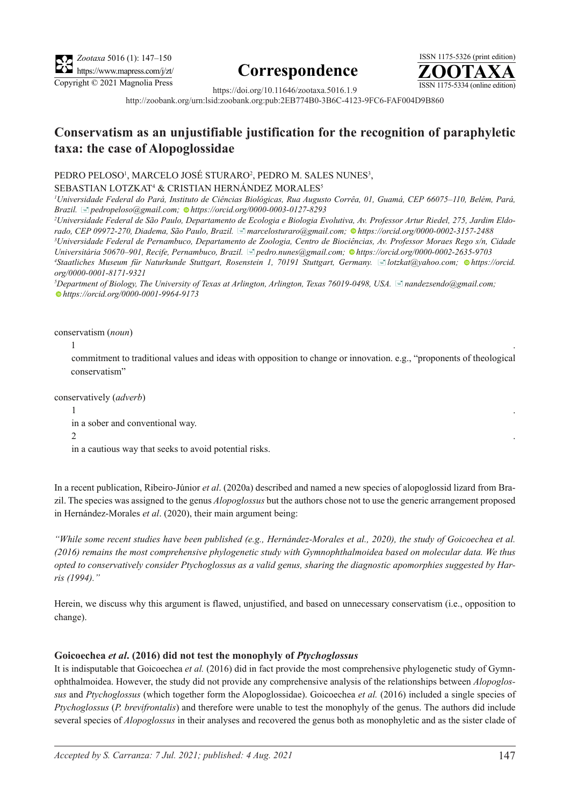

# **Correspondence**



https://doi.org/10.11646/zootaxa.5016.1.9 http://zoobank.org/urn:lsid:zoobank.org:pub:2EB774B0-3B6C-4123-9FC6-FAF004D9B860

# **Conservatism as an unjustifiable justification for the recognition of paraphyletic taxa: the case of Alopoglossidae**

## PEDRO PELOSO', MARCELO JOSÉ STURARO<del>'</del>, PEDRO M. SALES NUNES<sup>3</sup>,

# SEBASTIAN LOTZKAT4 & CRISTIAN HERNÁNDEZ MORALES5

*1 Universidade Federal do Pará, Instituto de Ciências Biológicas, Rua Augusto Corrêa, 01, Guamá, CEP 66075–110, Belém, Pará, Brazil.* [�](mailto;pedropeloso@gmail.com)*pedropeloso@gmail.com;https://orcid.org/0000-0003-0127-8293*

*2 Universidade Federal de São Paulo, Departamento de Ecologia e Biologia Evolutiva, Av. Professor Artur Riedel, 275, Jardim Eldorado, CEP 09972-270, Diadema, São Paulo, Brazil.* [�](mailto:marcelosturaro@gmail.com)*marcelosturaro@gmail.com; [h](https://orcid.org/0000-0002-3157-2488)ttps://orcid.org/0000-0002-3157-2488*

*3 Universidade Federal de Pernambuco, Departamento de Zoologia, Centro de Biociências, Av. Professor Moraes Rego s/n, Cidade Universitária 50670–901, Recife, Pernambuco, Brazil.* [�](mailto:pedro.nunes@gmail.com)*pedro.nunes@gmail.com;https://orcid.org/0000-0002-2635-9703*

*4 Staatliches Museum für Naturkunde Stuttgart, Rosenstein 1, 70191 Stuttgart, Germany.* [�](mailto:lotzkat@yahoo.com)*lotzkat@yahoo.com; https://orcid. org/0000-0001-8171-9321*

*5 Department of Biology, The University of Texas at Arlington, Arlington, Texas 76019-0498, USA.* [�](mailto:nandezsendo@gmail.com)*nandezsendo@gmail.com; [h](https://orcid.org/0000-0001-9964-9173)ttps://orcid.org/0000-0001-9964-9173*

conservatism (*noun*)

 $1$ 

commitment to traditional values and ideas with opposition to change or innovation. e.g., "proponents of theological conservatism"

conservatively (*adverb*)

 $1$ 

in a sober and conventional way.

2  $\sim$  2  $\sim$  2  $\sim$  2  $\sim$  2  $\sim$  2  $\sim$  2  $\sim$  2  $\sim$  2  $\sim$  2  $\sim$  2  $\sim$  2  $\sim$  2  $\sim$  2  $\sim$  2  $\sim$  2  $\sim$  2  $\sim$  2  $\sim$  2  $\sim$  2  $\sim$  2  $\sim$  2  $\sim$  2  $\sim$  2  $\sim$  2  $\sim$  2  $\sim$  2  $\sim$  2  $\sim$  2  $\sim$  2  $\sim$  2  $\sim$  2  $\$ 

in a cautious way that seeks to avoid potential risks.

In a recent publication, Ribeiro-Júnior *et al*. (2020a) described and named a new species of alopoglossid lizard from Brazil. The species was assigned to the genus *Alopoglossus* but the authors chose not to use the generic arrangement proposed in Hernández-Morales *et al*. (2020), their main argument being:

*"While some recent studies have been published (e.g., Hernández-Morales et al., 2020), the study of Goicoechea et al. (2016) remains the most comprehensive phylogenetic study with Gymnophthalmoidea based on molecular data. We thus opted to conservatively consider Ptychoglossus as a valid genus, sharing the diagnostic apomorphies suggested by Harris (1994)."*

Herein, we discuss why this argument is flawed, unjustified, and based on unnecessary conservatism (i.e., opposition to change).

# **Goicoechea** *et al***. (2016) did not test the monophyly of** *Ptychoglossus*

It is indisputable that Goicoechea *et al.* (2016) did in fact provide the most comprehensive phylogenetic study of Gymnophthalmoidea. However, the study did not provide any comprehensive analysis of the relationships between *Alopoglossus* and *Ptychoglossus* (which together form the Alopoglossidae). Goicoechea *et al.* (2016) included a single species of *Ptychoglossus* (*P. brevifrontalis*) and therefore were unable to test the monophyly of the genus. The authors did include several species of *Alopoglossus* in their analyses and recovered the genus both as monophyletic and as the sister clade of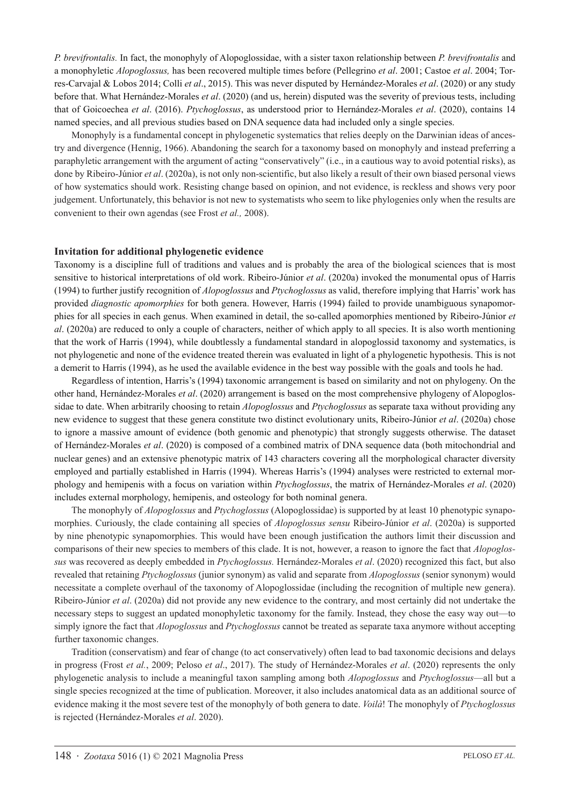*P. brevifrontalis.* In fact, the monophyly of Alopoglossidae, with a sister taxon relationship between *P. brevifrontalis* and a monophyletic *Alopoglossus,* has been recovered multiple times before (Pellegrino *et al*. 2001; Castoe *et al*. 2004; Torres-Carvajal & Lobos 2014; Colli *et al*., 2015). This was never disputed by Hernández-Morales *et al*. (2020) or any study before that. What Hernández-Morales *et al*. (2020) (and us, herein) disputed was the severity of previous tests, including that of Goicoechea *et al*. (2016). *Ptychoglossus*, as understood prior to Hernández-Morales *et al*. (2020), contains 14 named species, and all previous studies based on DNA sequence data had included only a single species.

Monophyly is a fundamental concept in phylogenetic systematics that relies deeply on the Darwinian ideas of ancestry and divergence (Hennig, 1966). Abandoning the search for a taxonomy based on monophyly and instead preferring a paraphyletic arrangement with the argument of acting "conservatively" (i.e., in a cautious way to avoid potential risks), as done by Ribeiro-Júnior *et al*. (2020a), is not only non-scientific, but also likely a result of their own biased personal views of how systematics should work. Resisting change based on opinion, and not evidence, is reckless and shows very poor judgement. Unfortunately, this behavior is not new to systematists who seem to like phylogenies only when the results are convenient to their own agendas (see Frost *et al.,* 2008).

### **Invitation for additional phylogenetic evidence**

Taxonomy is a discipline full of traditions and values and is probably the area of the biological sciences that is most sensitive to historical interpretations of old work. Ribeiro-Júnior *et al*. (2020a) invoked the monumental opus of Harris (1994) to further justify recognition of *Alopoglossus* and *Ptychoglossus* as valid, therefore implying that Harris' work has provided *diagnostic apomorphies* for both genera. However, Harris (1994) failed to provide unambiguous synapomorphies for all species in each genus. When examined in detail, the so-called apomorphies mentioned by Ribeiro-Júnior *et al*. (2020a) are reduced to only a couple of characters, neither of which apply to all species. It is also worth mentioning that the work of Harris (1994), while doubtlessly a fundamental standard in alopoglossid taxonomy and systematics, is not phylogenetic and none of the evidence treated therein was evaluated in light of a phylogenetic hypothesis. This is not a demerit to Harris (1994), as he used the available evidence in the best way possible with the goals and tools he had.

Regardless of intention, Harris's (1994) taxonomic arrangement is based on similarity and not on phylogeny. On the other hand, Hernández-Morales *et al*. (2020) arrangement is based on the most comprehensive phylogeny of Alopoglossidae to date. When arbitrarily choosing to retain *Alopoglossus* and *Ptychoglossus* as separate taxa without providing any new evidence to suggest that these genera constitute two distinct evolutionary units, Ribeiro-Júnior *et al*. (2020a) chose to ignore a massive amount of evidence (both genomic and phenotypic) that strongly suggests otherwise. The dataset of Hernández-Morales *et al*. (2020) is composed of a combined matrix of DNA sequence data (both mitochondrial and nuclear genes) and an extensive phenotypic matrix of 143 characters covering all the morphological character diversity employed and partially established in Harris (1994). Whereas Harris's (1994) analyses were restricted to external morphology and hemipenis with a focus on variation within *Ptychoglossus*, the matrix of Hernández-Morales *et al*. (2020) includes external morphology, hemipenis, and osteology for both nominal genera.

The monophyly of *Alopoglossus* and *Ptychoglossus* (Alopoglossidae) is supported by at least 10 phenotypic synapomorphies. Curiously, the clade containing all species of *Alopoglossus sensu* Ribeiro-Júnior *et al*. (2020a) is supported by nine phenotypic synapomorphies. This would have been enough justification the authors limit their discussion and comparisons of their new species to members of this clade. It is not, however, a reason to ignore the fact that *Alopoglossus* was recovered as deeply embedded in *Ptychoglossus.* Hernández-Morales *et al*. (2020) recognized this fact, but also revealed that retaining *Ptychoglossus* (junior synonym) as valid and separate from *Alopoglossus* (senior synonym) would necessitate a complete overhaul of the taxonomy of Alopoglossidae (including the recognition of multiple new genera). Ribeiro-Júnior *et al*. (2020a) did not provide any new evidence to the contrary, and most certainly did not undertake the necessary steps to suggest an updated monophyletic taxonomy for the family. Instead, they chose the easy way out—to simply ignore the fact that *Alopoglossus* and *Ptychoglossus* cannot be treated as separate taxa anymore without accepting further taxonomic changes.

Tradition (conservatism) and fear of change (to act conservatively) often lead to bad taxonomic decisions and delays in progress (Frost *et al.*, 2009; Peloso *et al*., 2017). The study of Hernández-Morales *et al*. (2020) represents the only phylogenetic analysis to include a meaningful taxon sampling among both *Alopoglossus* and *Ptychoglossus*—all but a single species recognized at the time of publication. Moreover, it also includes anatomical data as an additional source of evidence making it the most severe test of the monophyly of both genera to date. *Voilà*! The monophyly of *Ptychoglossus*  is rejected (Hernández-Morales *et al*. 2020).